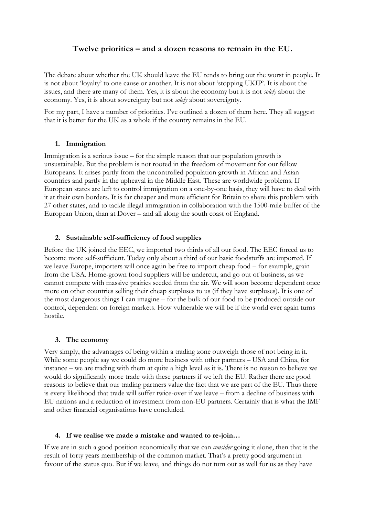# **Twelve priorities – and a dozen reasons to remain in the EU.**

The debate about whether the UK should leave the EU tends to bring out the worst in people. It is not about 'loyalty' to one cause or another. It is not about 'stopping UKIP'. It is about the issues, and there are many of them. Yes, it is about the economy but it is not *solely* about the economy. Yes, it is about sovereignty but not *solely* about sovereignty.

For my part, I have a number of priorities. I've outlined a dozen of them here. They all suggest that it is better for the UK as a whole if the country remains in the EU.

## **1. Immigration**

Immigration is a serious issue – for the simple reason that our population growth is unsustainable. But the problem is not rooted in the freedom of movement for our fellow Europeans. It arises partly from the uncontrolled population growth in African and Asian countries and partly in the upheaval in the Middle East. These are worldwide problems. If European states are left to control immigration on a one-by-one basis, they will have to deal with it at their own borders. It is far cheaper and more efficient for Britain to share this problem with 27 other states, and to tackle illegal immigration in collaboration with the 1500-mile buffer of the European Union, than at Dover – and all along the south coast of England.

## **2. Sustainable self-sufficiency of food supplies**

Before the UK joined the EEC, we imported two thirds of all our food. The EEC forced us to become more self-sufficient. Today only about a third of our basic foodstuffs are imported. If we leave Europe, importers will once again be free to import cheap food – for example, grain from the USA. Home-grown food suppliers will be undercut, and go out of business, as we cannot compete with massive prairies seeded from the air. We will soon become dependent once more on other countries selling their cheap surpluses to us (if they have surpluses). It is one of the most dangerous things I can imagine – for the bulk of our food to be produced outside our control, dependent on foreign markets. How vulnerable we will be if the world ever again turns hostile.

#### **3. The economy**

Very simply, the advantages of being within a trading zone outweigh those of not being in it. While some people say we could do more business with other partners – USA and China, for instance – we are trading with them at quite a high level as it is. There is no reason to believe we would do significantly more trade with these partners if we left the EU. Rather there are good reasons to believe that our trading partners value the fact that we are part of the EU. Thus there is every likelihood that trade will suffer twice-over if we leave – from a decline of business with EU nations and a reduction of investment from non-EU partners. Certainly that is what the IMF and other financial organisations have concluded.

#### **4. If we realise we made a mistake and wanted to re-join…**

If we are in such a good position economically that we can *consider* going it alone, then that is the result of forty years membership of the common market. That's a pretty good argument in favour of the status quo. But if we leave, and things do not turn out as well for us as they have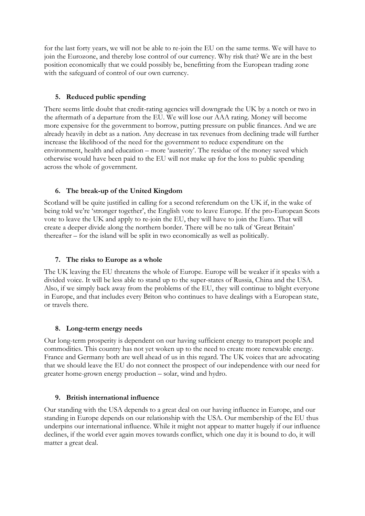for the last forty years, we will not be able to re-join the EU on the same terms. We will have to join the Eurozone, and thereby lose control of our currency. Why risk that? We are in the best position economically that we could possibly be, benefitting from the European trading zone with the safeguard of control of our own currency.

## **5. Reduced public spending**

There seems little doubt that credit-rating agencies will downgrade the UK by a notch or two in the aftermath of a departure from the EU. We will lose our AAA rating. Money will become more expensive for the government to borrow, putting pressure on public finances. And we are already heavily in debt as a nation. Any decrease in tax revenues from declining trade will further increase the likelihood of the need for the government to reduce expenditure on the environment, health and education – more 'austerity'. The residue of the money saved which otherwise would have been paid to the EU will not make up for the loss to public spending across the whole of government.

## **6. The break-up of the United Kingdom**

Scotland will be quite justified in calling for a second referendum on the UK if, in the wake of being told we're 'stronger together', the English vote to leave Europe. If the pro-European Scots vote to leave the UK and apply to re-join the EU, they will have to join the Euro. That will create a deeper divide along the northern border. There will be no talk of 'Great Britain' thereafter – for the island will be split in two economically as well as politically.

## **7. The risks to Europe as a whole**

The UK leaving the EU threatens the whole of Europe. Europe will be weaker if it speaks with a divided voice. It will be less able to stand up to the super-states of Russia, China and the USA. Also, if we simply back away from the problems of the EU, they will continue to blight everyone in Europe, and that includes every Briton who continues to have dealings with a European state, or travels there.

## **8. Long-term energy needs**

Our long-term prosperity is dependent on our having sufficient energy to transport people and commodities. This country has not yet woken up to the need to create more renewable energy. France and Germany both are well ahead of us in this regard. The UK voices that are advocating that we should leave the EU do not connect the prospect of our independence with our need for greater home-grown energy production – solar, wind and hydro.

## **9. British international influence**

Our standing with the USA depends to a great deal on our having influence in Europe, and our standing in Europe depends on our relationship with the USA. Our membership of the EU thus underpins our international influence. While it might not appear to matter hugely if our influence declines, if the world ever again moves towards conflict, which one day it is bound to do, it will matter a great deal.